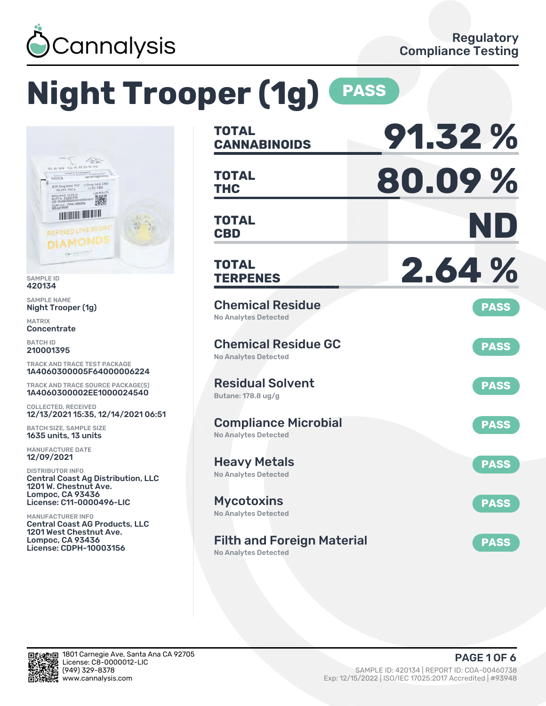

# **Night Trooper (1g) PASS**



SAMPLE ID 420134

SAMPLE NAME Night Trooper (1g)

MATRIX **Concentrate** 

BATCH ID 210001395

TRACK AND TRACE TEST PACKAGE 1A4060300005F64000006224

TRACK AND TRACE SOURCE PACKAGE(S) 1A4060300002EE1000024540

COLLECTED, RECEIVED 12/13/2021 15:35, 12/14/2021 06:51

BATCH SIZE, SAMPLE SIZE 1635 units, 13 units

MANUFACTURE DATE 12/09/2021

DISTRIBUTOR INFO Central Coast Ag Distribution, LLC 1201 W. Chestnut Ave. Lompoc, CA 93436 License: C11-0000496-LIC

MANUFACTURER INFO Central Coast AG Products, LLC 1201 West Chestnut Ave. Lompoc, CA 93436 License: CDPH-10003156

| TOTAL<br><b>CANNABINOIDS</b>                               | 91.32%      |
|------------------------------------------------------------|-------------|
| <b>TOTAL</b><br><b>THC</b>                                 | 80.09%      |
| <b>TOTAL</b><br><b>CBD</b>                                 | ND          |
| TOTAL<br><b>TERPENES</b>                                   | 2.64%       |
| <b>Chemical Residue</b><br>No Analytes Detected            | <b>PASS</b> |
| <b>Chemical Residue GC</b><br><b>No Analytes Detected</b>  | <b>PASS</b> |
| <b>Residual Solvent</b><br>Butane: 178.8 ug/g              | <b>PASS</b> |
| <b>Compliance Microbial</b><br><b>No Analytes Detected</b> | <b>PASS</b> |
| <b>Heavy Metals</b><br><b>No Analytes Detected</b>         | <b>PASS</b> |
| <b>Mycotoxins</b><br>No Analytes Detected                  | <b>PASS</b> |
| <b>Filth and Foreign Material</b>                          | <b>PASS</b> |

No Analytes Detected

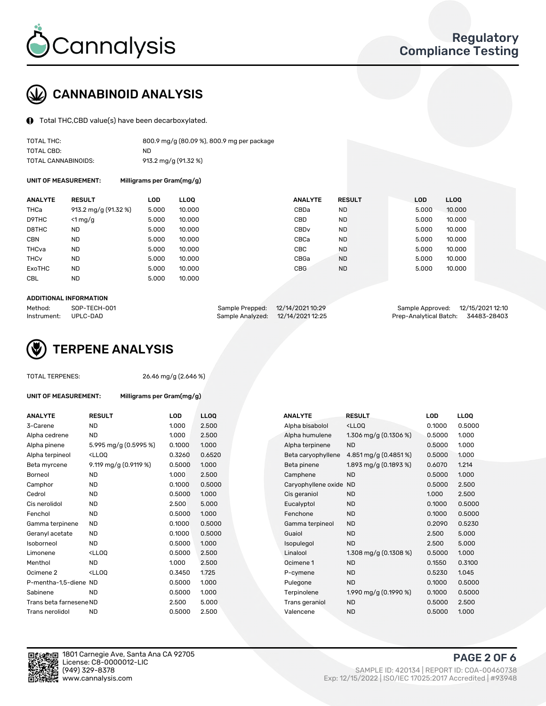

## CANNABINOID ANALYSIS

Total THC,CBD value(s) have been decarboxylated.

| TOTAL THC:          | 800.9 mg/g (80.09 %), 800.9 mg per package |
|---------------------|--------------------------------------------|
| TOTAL CBD:          | ND.                                        |
| TOTAL CANNABINOIDS: | 913.2 mg/g (91.32 %)                       |

UNIT OF MEASUREMENT: Milligrams per Gram(mg/g)

| <b>ANALYTE</b>         | <b>RESULT</b>        | LOD   | <b>LLOO</b> | <b>ANALYTE</b>   | <b>RESULT</b> | <b>LOD</b> | LL <sub>00</sub> |
|------------------------|----------------------|-------|-------------|------------------|---------------|------------|------------------|
| <b>THCa</b>            | 913.2 mg/g (91.32 %) | 5.000 | 10.000      | CBDa             | <b>ND</b>     | 5.000      | 10.000           |
| D9THC                  | $<$ 1 mg/g           | 5.000 | 10.000      | <b>CBD</b>       | <b>ND</b>     | 5.000      | 10.000           |
| D8THC                  | ND                   | 5.000 | 10.000      | CBD <sub>v</sub> | <b>ND</b>     | 5.000      | 10.000           |
| <b>CBN</b>             | <b>ND</b>            | 5.000 | 10.000      | CBCa             | <b>ND</b>     | 5.000      | 10.000           |
| THCva                  | <b>ND</b>            | 5.000 | 10.000      | <b>CBC</b>       | <b>ND</b>     | 5.000      | 10.000           |
| <b>THC<sub>v</sub></b> | <b>ND</b>            | 5.000 | 10.000      | CBGa             | <b>ND</b>     | 5.000      | 10.000           |
| ExoTHC                 | <b>ND</b>            | 5.000 | 10.000      | <b>CBG</b>       | <b>ND</b>     | 5.000      | 10.000           |
| <b>CBL</b>             | <b>ND</b>            | 5.000 | 10.000      |                  |               |            |                  |

#### ADDITIONAL INFORMATION

| Method:              | SOP-TECH-001 | Sample Prepped: 12/14/2021 10:29  | Sample Approved: 12/15/2021 12:10  |  |
|----------------------|--------------|-----------------------------------|------------------------------------|--|
| Instrument: UPLC-DAD |              | Sample Analyzed: 12/14/2021 12:25 | Prep-Analytical Batch: 34483-28403 |  |



TOTAL TERPENES: 26.46 mg/g (2.646 %)

 $Gram(mg/g)$ 

| UNIT OF MEASUREMENT: | Milligrams per |
|----------------------|----------------|
|----------------------|----------------|

| <b>ANALYTE</b>          | <b>RESULT</b>                                                                                                                               | <b>LOD</b> | <b>LLOQ</b> | <b>ANALYTE</b>         | <b>RESULT</b>                                       | <b>LOD</b> | <b>LLOQ</b> |
|-------------------------|---------------------------------------------------------------------------------------------------------------------------------------------|------------|-------------|------------------------|-----------------------------------------------------|------------|-------------|
| 3-Carene                | <b>ND</b>                                                                                                                                   | 1.000      | 2.500       | Alpha bisabolol        | <ll0q< td=""><td>0.1000</td><td>0.5000</td></ll0q<> | 0.1000     | 0.5000      |
| Alpha cedrene           | ND                                                                                                                                          | 1.000      | 2.500       | Alpha humulene         | 1.306 mg/g $(0.1306\%)$                             | 0.5000     | 1.000       |
| Alpha pinene            | 5.995 mg/g (0.5995 %)                                                                                                                       | 0.1000     | 1.000       | Alpha terpinene        | <b>ND</b>                                           | 0.5000     | 1.000       |
| Alpha terpineol         | <lloq< td=""><td>0.3260</td><td>0.6520</td><td>Beta caryophyllene</td><td>4.851 mg/g (0.4851%)</td><td>0.5000</td><td>1.000</td></lloq<>    | 0.3260     | 0.6520      | Beta caryophyllene     | 4.851 mg/g (0.4851%)                                | 0.5000     | 1.000       |
| Beta myrcene            | 9.119 mg/g (0.9119 %)                                                                                                                       | 0.5000     | 1.000       | Beta pinene            | 1.893 mg/g (0.1893 %)                               | 0.6070     | 1.214       |
| Borneol                 | <b>ND</b>                                                                                                                                   | 1.000      | 2.500       | Camphene               | <b>ND</b>                                           | 0.5000     | 1.000       |
| Camphor                 | <b>ND</b>                                                                                                                                   | 0.1000     | 0.5000      | Caryophyllene oxide ND |                                                     | 0.5000     | 2.500       |
| Cedrol                  | <b>ND</b>                                                                                                                                   | 0.5000     | 1.000       | Cis geraniol           | <b>ND</b>                                           | 1.000      | 2.500       |
| Cis nerolidol           | ND.                                                                                                                                         | 2.500      | 5.000       | Eucalyptol             | <b>ND</b>                                           | 0.1000     | 0.5000      |
| Fenchol                 | <b>ND</b>                                                                                                                                   | 0.5000     | 1.000       | Fenchone               | <b>ND</b>                                           | 0.1000     | 0.5000      |
| Gamma terpinene         | <b>ND</b>                                                                                                                                   | 0.1000     | 0.5000      | Gamma terpineol        | <b>ND</b>                                           | 0.2090     | 0.5230      |
| Geranyl acetate         | <b>ND</b>                                                                                                                                   | 0.1000     | 0.5000      | Guaiol                 | <b>ND</b>                                           | 2.500      | 5.000       |
| Isoborneol              | <b>ND</b>                                                                                                                                   | 0.5000     | 1.000       | Isopulegol             | <b>ND</b>                                           | 2.500      | 5.000       |
| Limonene                | <lloq< td=""><td>0.5000</td><td>2.500</td><td>Linalool</td><td>1.308 mg/g <math>(0.1308\%)</math></td><td>0.5000</td><td>1.000</td></lloq<> | 0.5000     | 2.500       | Linalool               | 1.308 mg/g $(0.1308\%)$                             | 0.5000     | 1.000       |
| Menthol                 | <b>ND</b>                                                                                                                                   | 1.000      | 2.500       | Ocimene 1              | <b>ND</b>                                           | 0.1550     | 0.3100      |
| Ocimene <sub>2</sub>    | <lloq< td=""><td>0.3450</td><td>1.725</td><td>P-cymene</td><td><b>ND</b></td><td>0.5230</td><td>1.045</td></lloq<>                          | 0.3450     | 1.725       | P-cymene               | <b>ND</b>                                           | 0.5230     | 1.045       |
| P-mentha-1,5-diene ND   |                                                                                                                                             | 0.5000     | 1.000       | Pulegone               | <b>ND</b>                                           | 0.1000     | 0.5000      |
| Sabinene                | <b>ND</b>                                                                                                                                   | 0.5000     | 1.000       | Terpinolene            | 1.990 mg/g $(0.1990\%)$                             | 0.1000     | 0.5000      |
| Trans beta farnesene ND |                                                                                                                                             | 2.500      | 5.000       | Trans geraniol         | <b>ND</b>                                           | 0.5000     | 2.500       |
| Trans nerolidol         | <b>ND</b>                                                                                                                                   | 0.5000     | 2.500       | Valencene              | <b>ND</b>                                           | 0.5000     | 1.000       |

| ANALYTE             | RESULT                                              | LOD    | LLOO   |
|---------------------|-----------------------------------------------------|--------|--------|
| Alpha bisabolol     | <lloq< td=""><td>0.1000</td><td>0.5000</td></lloq<> | 0.1000 | 0.5000 |
| Alpha humulene      | 1.306 mg/g $(0.1306\%)$                             | 0.5000 | 1.000  |
| Alpha terpinene     | ND.                                                 | 0.5000 | 1.000  |
| Beta caryophyllene  | 4.851 mg/g $(0.4851\%)$                             | 0.5000 | 1.000  |
| Beta pinene         | 1.893 mg/g (0.1893 %)                               | 0.6070 | 1.214  |
| Camphene            | <b>ND</b>                                           | 0.5000 | 1.000  |
| Caryophyllene oxide | <b>ND</b>                                           | 0.5000 | 2.500  |
| Cis geraniol        | <b>ND</b>                                           | 1.000  | 2.500  |
| Eucalyptol          | <b>ND</b>                                           | 0.1000 | 0.5000 |
| Fenchone            | <b>ND</b>                                           | 0.1000 | 0.5000 |
| Gamma terpineol     | <b>ND</b>                                           | 0.2090 | 0.5230 |
| Guaiol              | <b>ND</b>                                           | 2.500  | 5.000  |
| Isopulegol          | <b>ND</b>                                           | 2.500  | 5.000  |
| Linalool            | 1.308 mg/g (0.1308 %)                               | 0.5000 | 1.000  |
| Ocimene 1           | <b>ND</b>                                           | 0.1550 | 0.3100 |
| P-cymene            | ND.                                                 | 0.5230 | 1.045  |
| Pulegone            | <b>ND</b>                                           | 0.1000 | 0.5000 |
| Terpinolene         | 1.990 mg/g (0.1990 %)                               | 0.1000 | 0.5000 |
| Trans geraniol      | <b>ND</b>                                           | 0.5000 | 2.500  |
| Valencene           | <b>ND</b>                                           | 0.5000 | 1.000  |



PAGE 2 OF 6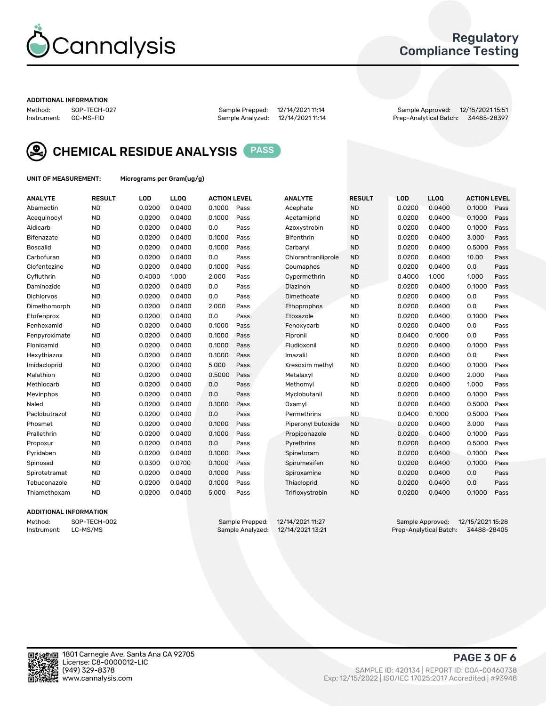

## Regulatory Compliance Testing

#### ADDITIONAL INFORMATION

Method: SOP-TECH-027 Sample Prepped: 12/14/2021 11:14 Sample Approved: 12/15/2021 15:51 Prep-Analytical Batch: 34485-28397



CHEMICAL RESIDUE ANALYSIS PASS

UNIT OF MEASUREMENT: Micrograms per Gram(ug/g)

| <b>ANALYTE</b>    | <b>RESULT</b> | LOD    | LL <sub>OO</sub> | <b>ACTION LEVEL</b> |      | <b>ANALYTE</b>      | <b>RESULT</b> | <b>LOD</b> | <b>LLOQ</b> | <b>ACTION LEVEL</b> |      |
|-------------------|---------------|--------|------------------|---------------------|------|---------------------|---------------|------------|-------------|---------------------|------|
| Abamectin         | <b>ND</b>     | 0.0200 | 0.0400           | 0.1000              | Pass | Acephate            | <b>ND</b>     | 0.0200     | 0.0400      | 0.1000              | Pass |
| Acequinocyl       | <b>ND</b>     | 0.0200 | 0.0400           | 0.1000              | Pass | Acetamiprid         | <b>ND</b>     | 0.0200     | 0.0400      | 0.1000              | Pass |
| Aldicarb          | <b>ND</b>     | 0.0200 | 0.0400           | 0.0                 | Pass | Azoxystrobin        | <b>ND</b>     | 0.0200     | 0.0400      | 0.1000              | Pass |
| Bifenazate        | <b>ND</b>     | 0.0200 | 0.0400           | 0.1000              | Pass | <b>Bifenthrin</b>   | <b>ND</b>     | 0.0200     | 0.0400      | 3.000               | Pass |
| <b>Boscalid</b>   | <b>ND</b>     | 0.0200 | 0.0400           | 0.1000              | Pass | Carbaryl            | <b>ND</b>     | 0.0200     | 0.0400      | 0.5000              | Pass |
| Carbofuran        | <b>ND</b>     | 0.0200 | 0.0400           | 0.0                 | Pass | Chlorantraniliprole | <b>ND</b>     | 0.0200     | 0.0400      | 10.00               | Pass |
| Clofentezine      | <b>ND</b>     | 0.0200 | 0.0400           | 0.1000              | Pass | Coumaphos           | <b>ND</b>     | 0.0200     | 0.0400      | 0.0                 | Pass |
| Cyfluthrin        | <b>ND</b>     | 0.4000 | 1.000            | 2.000               | Pass | Cypermethrin        | <b>ND</b>     | 0.4000     | 1.000       | 1.000               | Pass |
| Daminozide        | <b>ND</b>     | 0.0200 | 0.0400           | 0.0                 | Pass | Diazinon            | <b>ND</b>     | 0.0200     | 0.0400      | 0.1000              | Pass |
| <b>Dichlorvos</b> | <b>ND</b>     | 0.0200 | 0.0400           | 0.0                 | Pass | Dimethoate          | <b>ND</b>     | 0.0200     | 0.0400      | 0.0                 | Pass |
| Dimethomorph      | <b>ND</b>     | 0.0200 | 0.0400           | 2.000               | Pass | <b>Ethoprophos</b>  | <b>ND</b>     | 0.0200     | 0.0400      | 0.0                 | Pass |
| Etofenprox        | <b>ND</b>     | 0.0200 | 0.0400           | 0.0                 | Pass | Etoxazole           | <b>ND</b>     | 0.0200     | 0.0400      | 0.1000              | Pass |
| Fenhexamid        | <b>ND</b>     | 0.0200 | 0.0400           | 0.1000              | Pass | Fenoxycarb          | <b>ND</b>     | 0.0200     | 0.0400      | 0.0                 | Pass |
| Fenpyroximate     | <b>ND</b>     | 0.0200 | 0.0400           | 0.1000              | Pass | Fipronil            | <b>ND</b>     | 0.0400     | 0.1000      | 0.0                 | Pass |
| Flonicamid        | <b>ND</b>     | 0.0200 | 0.0400           | 0.1000              | Pass | Fludioxonil         | <b>ND</b>     | 0.0200     | 0.0400      | 0.1000              | Pass |
| Hexythiazox       | <b>ND</b>     | 0.0200 | 0.0400           | 0.1000              | Pass | Imazalil            | <b>ND</b>     | 0.0200     | 0.0400      | 0.0                 | Pass |
| Imidacloprid      | <b>ND</b>     | 0.0200 | 0.0400           | 5.000               | Pass | Kresoxim methyl     | <b>ND</b>     | 0.0200     | 0.0400      | 0.1000              | Pass |
| Malathion         | <b>ND</b>     | 0.0200 | 0.0400           | 0.5000              | Pass | Metalaxyl           | <b>ND</b>     | 0.0200     | 0.0400      | 2.000               | Pass |
| Methiocarb        | <b>ND</b>     | 0.0200 | 0.0400           | 0.0                 | Pass | Methomyl            | <b>ND</b>     | 0.0200     | 0.0400      | 1.000               | Pass |
| Mevinphos         | <b>ND</b>     | 0.0200 | 0.0400           | 0.0                 | Pass | Myclobutanil        | <b>ND</b>     | 0.0200     | 0.0400      | 0.1000              | Pass |
| Naled             | <b>ND</b>     | 0.0200 | 0.0400           | 0.1000              | Pass | Oxamyl              | <b>ND</b>     | 0.0200     | 0.0400      | 0.5000              | Pass |
| Paclobutrazol     | <b>ND</b>     | 0.0200 | 0.0400           | 0.0                 | Pass | Permethrins         | <b>ND</b>     | 0.0400     | 0.1000      | 0.5000              | Pass |
| Phosmet           | <b>ND</b>     | 0.0200 | 0.0400           | 0.1000              | Pass | Piperonyl butoxide  | <b>ND</b>     | 0.0200     | 0.0400      | 3.000               | Pass |
| Prallethrin       | <b>ND</b>     | 0.0200 | 0.0400           | 0.1000              | Pass | Propiconazole       | <b>ND</b>     | 0.0200     | 0.0400      | 0.1000              | Pass |
| Propoxur          | <b>ND</b>     | 0.0200 | 0.0400           | 0.0                 | Pass | Pyrethrins          | <b>ND</b>     | 0.0200     | 0.0400      | 0.5000              | Pass |
| Pyridaben         | <b>ND</b>     | 0.0200 | 0.0400           | 0.1000              | Pass | Spinetoram          | <b>ND</b>     | 0.0200     | 0.0400      | 0.1000              | Pass |
| Spinosad          | <b>ND</b>     | 0.0300 | 0.0700           | 0.1000              | Pass | Spiromesifen        | <b>ND</b>     | 0.0200     | 0.0400      | 0.1000              | Pass |
| Spirotetramat     | <b>ND</b>     | 0.0200 | 0.0400           | 0.1000              | Pass | Spiroxamine         | <b>ND</b>     | 0.0200     | 0.0400      | 0.0                 | Pass |
| Tebuconazole      | <b>ND</b>     | 0.0200 | 0.0400           | 0.1000              | Pass | Thiacloprid         | <b>ND</b>     | 0.0200     | 0.0400      | 0.0                 | Pass |
| Thiamethoxam      | <b>ND</b>     | 0.0200 | 0.0400           | 5.000               | Pass | Trifloxystrobin     | <b>ND</b>     | 0.0200     | 0.0400      | 0.1000              | Pass |

### ADDITIONAL INFORMATION

Method: SOP-TECH-002 Sample Prepped: 12/14/2021 11:27 Sample Approved: 12/15/2021 15:28 Prep-Analytical Batch: 34488-28405

PAGE 3 OF 6

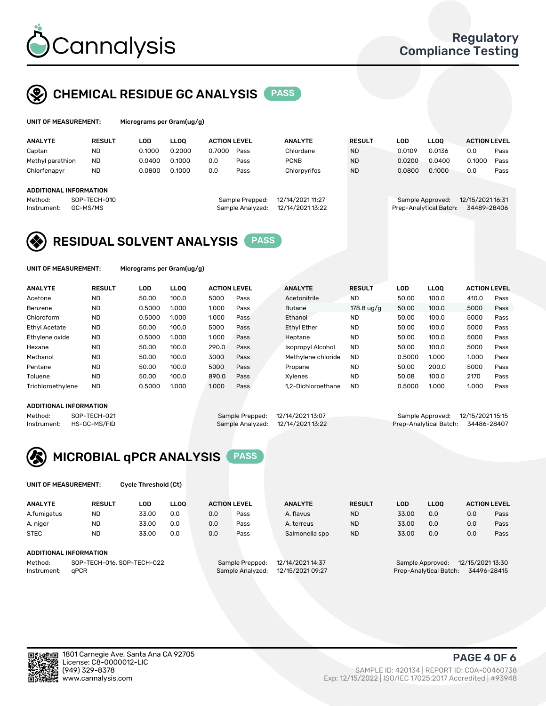

## CHEMICAL RESIDUE GC ANALYSIS PASS

| UNIT OF MEASUREMENT: |               | Micrograms per Gram(ug/g) |             |                     |      |                |               |        |             |                     |      |
|----------------------|---------------|---------------------------|-------------|---------------------|------|----------------|---------------|--------|-------------|---------------------|------|
| <b>ANALYTE</b>       | <b>RESULT</b> | LOD                       | <b>LLOO</b> | <b>ACTION LEVEL</b> |      | <b>ANALYTE</b> | <b>RESULT</b> | LOD    | <b>LLOO</b> | <b>ACTION LEVEL</b> |      |
| Captan               | <b>ND</b>     | 0.1000                    | 0.2000      | 0.7000              | Pass | Chlordane      | <b>ND</b>     | 0.0109 | 0.0136      | 0.0                 | Pass |
| Methyl parathion     | <b>ND</b>     | 0.0400                    | 0.1000      | 0.0                 | Pass | <b>PCNB</b>    | <b>ND</b>     | 0.0200 | 0.0400      | 0.1000              | Pass |
| Chlorfenapyr         | <b>ND</b>     | 0.0800                    | 0.1000      | 0.0                 | Pass | Chlorpyrifos   | <b>ND</b>     | 0.0800 | 0.1000      | 0.0                 | Pass |

#### ADDITIONAL INFORMATION

| Sample Analyzed: 12/14/2021 13:22<br>Prep-Analytical Batch: 34489-28406<br>Instrument: GC-MS/MS | Method: | SOP-TECH-010 | Sample Prepped: 12/14/2021 11:27 | Sample Approved: 12/15/2021 16:31 |  |
|-------------------------------------------------------------------------------------------------|---------|--------------|----------------------------------|-----------------------------------|--|
|                                                                                                 |         |              |                                  |                                   |  |

## Method: SOP-TECH-010 Sample Prepped: 12/14/2021 11:27 Sample Approved: 12/15/2021 16:31

## RESIDUAL SOLVENT ANALYSIS PASS

UNIT OF MEASUREMENT: Micrograms per Gram(ug/g)

| <b>ANALYTE</b>       | <b>RESULT</b> | LOD    | <b>LLOO</b> | <b>ACTION LEVEL</b> |      | <b>ANALYTE</b>           | <b>RESULT</b> | LOD    | LLOO  | <b>ACTION LEVEL</b> |      |
|----------------------|---------------|--------|-------------|---------------------|------|--------------------------|---------------|--------|-------|---------------------|------|
| Acetone              | <b>ND</b>     | 50.00  | 100.0       | 5000                | Pass | Acetonitrile             | <b>ND</b>     | 50.00  | 100.0 | 410.0               | Pass |
| Benzene              | <b>ND</b>     | 0.5000 | 1.000       | 1.000               | Pass | <b>Butane</b>            | 178.8 $uq/q$  | 50.00  | 100.0 | 5000                | Pass |
| Chloroform           | <b>ND</b>     | 0.5000 | 1.000       | 1.000               | Pass | Ethanol                  | <b>ND</b>     | 50.00  | 100.0 | 5000                | Pass |
| <b>Ethyl Acetate</b> | <b>ND</b>     | 50.00  | 100.0       | 5000                | Pass | <b>Ethyl Ether</b>       | <b>ND</b>     | 50.00  | 100.0 | 5000                | Pass |
| Ethylene oxide       | <b>ND</b>     | 0.5000 | 1.000       | 1.000               | Pass | Heptane                  | <b>ND</b>     | 50.00  | 100.0 | 5000                | Pass |
| Hexane               | <b>ND</b>     | 50.00  | 100.0       | 290.0               | Pass | <b>Isopropyl Alcohol</b> | <b>ND</b>     | 50.00  | 100.0 | 5000                | Pass |
| Methanol             | <b>ND</b>     | 50.00  | 100.0       | 3000                | Pass | Methylene chloride       | <b>ND</b>     | 0.5000 | 1.000 | 1.000               | Pass |
| Pentane              | <b>ND</b>     | 50.00  | 100.0       | 5000                | Pass | Propane                  | <b>ND</b>     | 50.00  | 200.0 | 5000                | Pass |
| Toluene              | <b>ND</b>     | 50.00  | 100.0       | 890.0               | Pass | Xvlenes                  | <b>ND</b>     | 50.08  | 100.0 | 2170                | Pass |
| Trichloroethylene    | <b>ND</b>     | 0.5000 | 1.000       | 1.000               | Pass | 1.2-Dichloroethane       | <b>ND</b>     | 0.5000 | 1.000 | 1.000               | Pass |

#### ADDITIONAL INFORMATION

|             | ADDITIONAL INFORMATION |                                   |                                    |  |
|-------------|------------------------|-----------------------------------|------------------------------------|--|
| Method:     | SOP-TECH-021           | Sample Prepped: 12/14/2021 13:07  | Sample Approved: 12/15/2021 15:15  |  |
| Instrument: | HS-GC-MS/FID           | Sample Analyzed: 12/14/2021 13:22 | Prep-Analytical Batch: 34486-28407 |  |



UNIT OF MEASUREMENT: Cycle Threshold (Ct)

| <b>ANALYTE</b>         | <b>RESULT</b>              | LOD   | <b>LLOO</b> |     | <b>ACTION LEVEL</b> | <b>ANALYTE</b>   | <b>RESULT</b> | LOD                                   | <b>LLOO</b> | <b>ACTION LEVEL</b> |      |
|------------------------|----------------------------|-------|-------------|-----|---------------------|------------------|---------------|---------------------------------------|-------------|---------------------|------|
| A.fumigatus            | ND                         | 33.00 | 0.0         | 0.0 | Pass                | A. flavus        | <b>ND</b>     | 33.00                                 | 0.0         | 0.0                 | Pass |
| A. niger               | <b>ND</b>                  | 33.00 | 0.0         | 0.0 | Pass                | A. terreus       | <b>ND</b>     | 33.00                                 | 0.0         | 0.0                 | Pass |
| <b>STEC</b>            | <b>ND</b>                  | 33.00 | 0.0         | 0.0 | Pass                | Salmonella spp   | <b>ND</b>     | 33.00                                 | 0.0         | 0.0                 | Pass |
| ADDITIONAL INFORMATION |                            |       |             |     |                     |                  |               |                                       |             |                     |      |
| Method:                | SOP-TECH-016, SOP-TECH-022 |       |             |     | Sample Prepped:     | 12/14/2021 14:37 |               | 12/15/2021 13:30<br>Sample Approved:  |             |                     |      |
| Instrument:            | aPCR                       |       |             |     | Sample Analyzed:    | 12/15/2021 09:27 |               | Prep-Analytical Batch:<br>34496-28415 |             |                     |      |

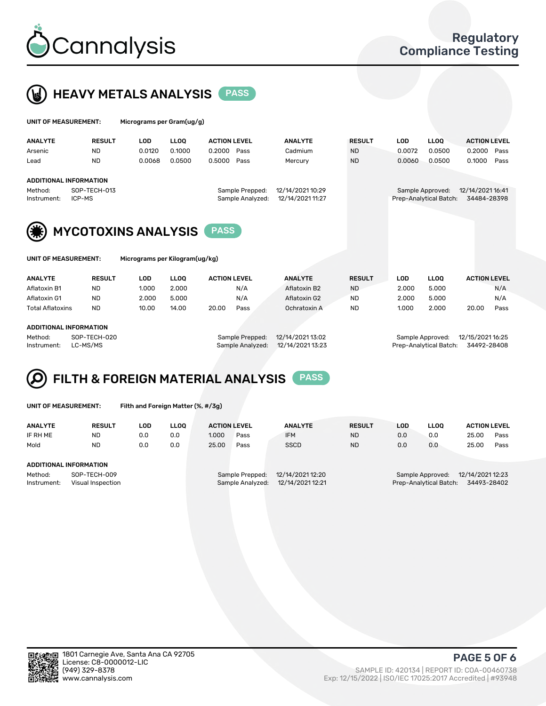



| UNIT OF MEASUREMENT:                                                                                     | Micrograms per Gram(ug/g) |             |                                                    |                                      |               |            |                                            |                                 |
|----------------------------------------------------------------------------------------------------------|---------------------------|-------------|----------------------------------------------------|--------------------------------------|---------------|------------|--------------------------------------------|---------------------------------|
| <b>ANALYTE</b><br><b>RESULT</b>                                                                          | LOD                       | <b>LLOO</b> | <b>ACTION LEVEL</b>                                | <b>ANALYTE</b>                       | <b>RESULT</b> | <b>LOD</b> | <b>LLOQ</b>                                | <b>ACTION LEVEL</b>             |
| <b>ND</b><br>Arsenic                                                                                     | 0.0120                    | 0.1000      | 0.2000<br>Pass                                     | Cadmium                              | <b>ND</b>     | 0.0072     | 0.0500                                     | 0.2000<br>Pass                  |
| <b>ND</b><br>Lead                                                                                        | 0.0068                    | 0.0500      | 0.5000<br>Pass                                     | Mercury                              | <b>ND</b>     | 0.0060     | 0.0500                                     | 0.1000<br>Pass                  |
| ADDITIONAL INFORMATION<br>SOP-TECH-013<br>Method:<br>ICP-MS<br>Instrument:<br><b>MYCOTOXINS ANALYSIS</b> |                           |             | Sample Prepped:<br>Sample Analyzed:<br><b>PASS</b> | 12/14/2021 10:29<br>12/14/2021 11:27 |               |            | Sample Approved:<br>Prep-Analytical Batch: | 12/14/2021 16:41<br>34484-28398 |

UNIT OF MEASUREMENT: Micrograms per Kilogram(ug/kg)

| <b>ANALYTE</b>          | <b>RESULT</b> | LOD   | <b>LLOO</b> | <b>ACTION LEVEL</b> |      | <b>ANALYTE</b> | <b>RESULT</b> | LOD   | <b>LLOO</b> | <b>ACTION LEVEL</b> |      |
|-------------------------|---------------|-------|-------------|---------------------|------|----------------|---------------|-------|-------------|---------------------|------|
| Aflatoxin B1            | <b>ND</b>     | 1.000 | 2.000       |                     | N/A  | Aflatoxin B2   | <b>ND</b>     | 2.000 | 5.000       |                     | N/A  |
| Aflatoxin G1            | <b>ND</b>     | 2.000 | 5.000       |                     | N/A  | Aflatoxin G2   | <b>ND</b>     | 2.000 | 5.000       |                     | N/A  |
| <b>Total Aflatoxins</b> | <b>ND</b>     | 10.00 | 14.00       | 20.00               | Pass | Ochratoxin A   | <b>ND</b>     | 1.000 | 2.000       | 20.00               | Pass |
|                         |               |       |             |                     |      |                |               |       |             |                     |      |
| ADDITIONAL INFORMATION  |               |       |             |                     |      |                |               |       |             |                     |      |

Method: SOP-TECH-020 Sample Prepped: 12/14/2021 13:02 Sample Approved: 12/15/2021 16:25 Instrument: LC-MS/MS Sample Analyzed: 12/14/2021 13:23 Prep-Analytical Batch: 34492-28408

# FILTH & FOREIGN MATERIAL ANALYSIS PASS

UNIT OF MEASUREMENT: Filth and Foreign Matter (%, #/3g)

| <b>ANALYTE</b>                                              | <b>RESULT</b> | LOD | <b>LLOO</b> | <b>ACTION LEVEL</b>                                                         |      | <b>ANALYTE</b> | <b>RESULT</b> | LOD                                                                           | LLOO | <b>ACTION LEVEL</b> |      |
|-------------------------------------------------------------|---------------|-----|-------------|-----------------------------------------------------------------------------|------|----------------|---------------|-------------------------------------------------------------------------------|------|---------------------|------|
| IF RH ME                                                    | <b>ND</b>     | 0.0 | 0.0         | 1.000                                                                       | Pass | <b>IFM</b>     | <b>ND</b>     | 0.0                                                                           | 0.0  | 25.00               | Pass |
| Mold                                                        | <b>ND</b>     | 0.0 | 0.0         | 25.00                                                                       | Pass | <b>SSCD</b>    | <b>ND</b>     | 0.0                                                                           | 0.0  | 25.00               | Pass |
| <b>ADDITIONAL INFORMATION</b>                               |               |     |             |                                                                             |      |                |               |                                                                               |      |                     |      |
| Method:<br>SOP-TECH-009<br>Instrument:<br>Visual Inspection |               |     |             | 12/14/2021 12:20<br>Sample Prepped:<br>12/14/2021 12:21<br>Sample Analyzed: |      |                |               | 12/14/2021 12:23<br>Sample Approved:<br>34493-28402<br>Prep-Analytical Batch: |      |                     |      |



PAGE 5 OF 6